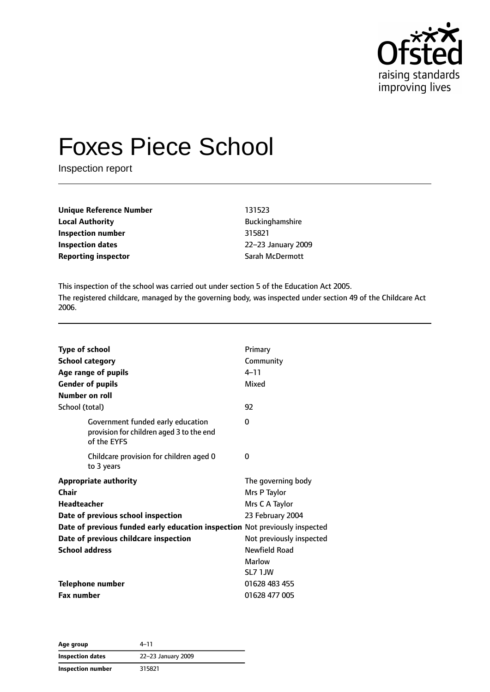

# Foxes Piece School

Inspection report

| Unique Reference Number    | 131523                 |
|----------------------------|------------------------|
| Local Authority            | <b>Buckinghamshire</b> |
| Inspection number          | 315821                 |
| Inspection dates           | 22-23 January 2009     |
| <b>Reporting inspector</b> | Sarah McDermott        |
|                            |                        |

This inspection of the school was carried out under section 5 of the Education Act 2005. The registered childcare, managed by the governing body, was inspected under section 49 of the Childcare Act 2006.

| <b>Type of school</b>                                                                        | Primary                  |
|----------------------------------------------------------------------------------------------|--------------------------|
| <b>School category</b>                                                                       | Community                |
| Age range of pupils                                                                          | $4 - 11$                 |
| <b>Gender of pupils</b>                                                                      | Mixed                    |
| Number on roll                                                                               |                          |
| School (total)                                                                               | 92                       |
| Government funded early education<br>provision for children aged 3 to the end<br>of the EYFS | 0                        |
| Childcare provision for children aged 0<br>to 3 years                                        | 0                        |
| <b>Appropriate authority</b>                                                                 | The governing body       |
| Chair                                                                                        | Mrs P Taylor             |
| <b>Headteacher</b>                                                                           | Mrs C A Taylor           |
| Date of previous school inspection                                                           | 23 February 2004         |
| Date of previous funded early education inspection Not previously inspected                  |                          |
| Date of previous childcare inspection                                                        | Not previously inspected |
| <b>School address</b>                                                                        | Newfield Road            |
|                                                                                              | Marlow                   |
|                                                                                              | SL71JW                   |
| <b>Telephone number</b>                                                                      | 01628 483 455            |
| <b>Fax number</b>                                                                            | 01628 477 005            |

**Age group** 4–11 **Inspection dates** 22–23 January 2009 **Inspection number** 315821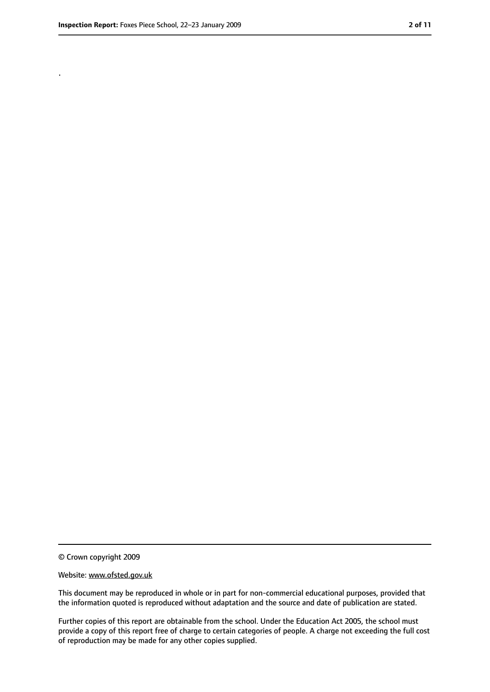.

<sup>©</sup> Crown copyright 2009

Website: www.ofsted.gov.uk

This document may be reproduced in whole or in part for non-commercial educational purposes, provided that the information quoted is reproduced without adaptation and the source and date of publication are stated.

Further copies of this report are obtainable from the school. Under the Education Act 2005, the school must provide a copy of this report free of charge to certain categories of people. A charge not exceeding the full cost of reproduction may be made for any other copies supplied.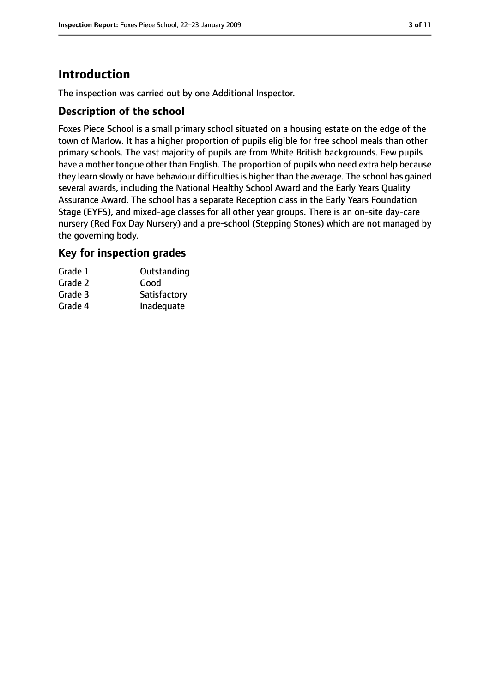# **Introduction**

The inspection was carried out by one Additional Inspector.

## **Description of the school**

Foxes Piece School is a small primary school situated on a housing estate on the edge of the town of Marlow. It has a higher proportion of pupils eligible for free school meals than other primary schools. The vast majority of pupils are from White British backgrounds. Few pupils have a mother tongue other than English. The proportion of pupils who need extra help because they learn slowly or have behaviour difficulties is higher than the average. The school has gained several awards, including the National Healthy School Award and the Early Years Quality Assurance Award. The school has a separate Reception class in the Early Years Foundation Stage (EYFS), and mixed-age classes for all other year groups. There is an on-site day-care nursery (Red Fox Day Nursery) and a pre-school (Stepping Stones) which are not managed by the governing body.

## **Key for inspection grades**

| Grade 1 | Outstanding  |
|---------|--------------|
| Grade 2 | Good         |
| Grade 3 | Satisfactory |
| Grade 4 | Inadequate   |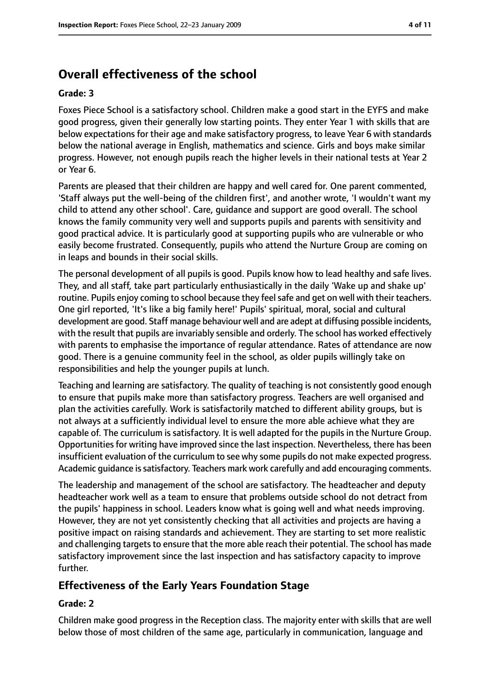# **Overall effectiveness of the school**

#### **Grade: 3**

Foxes Piece School is a satisfactory school. Children make a good start in the EYFS and make good progress, given their generally low starting points. They enter Year 1 with skills that are below expectations for their age and make satisfactory progress, to leave Year 6 with standards below the national average in English, mathematics and science. Girls and boys make similar progress. However, not enough pupils reach the higher levels in their national tests at Year 2 or Year 6.

Parents are pleased that their children are happy and well cared for. One parent commented, 'Staff always put the well-being of the children first', and another wrote, 'I wouldn't want my child to attend any other school'. Care, guidance and support are good overall. The school knows the family community very well and supports pupils and parents with sensitivity and good practical advice. It is particularly good at supporting pupils who are vulnerable or who easily become frustrated. Consequently, pupils who attend the Nurture Group are coming on in leaps and bounds in their social skills.

The personal development of all pupils is good. Pupils know how to lead healthy and safe lives. They, and all staff, take part particularly enthusiastically in the daily 'Wake up and shake up' routine. Pupils enjoy coming to school because they feel safe and get on well with their teachers. One girl reported, 'It's like a big family here!' Pupils' spiritual, moral, social and cultural development are good. Staff manage behaviour well and are adept at diffusing possible incidents, with the result that pupils are invariably sensible and orderly. The school has worked effectively with parents to emphasise the importance of regular attendance. Rates of attendance are now good. There is a genuine community feel in the school, as older pupils willingly take on responsibilities and help the younger pupils at lunch.

Teaching and learning are satisfactory. The quality of teaching is not consistently good enough to ensure that pupils make more than satisfactory progress. Teachers are well organised and plan the activities carefully. Work is satisfactorily matched to different ability groups, but is not always at a sufficiently individual level to ensure the more able achieve what they are capable of. The curriculum is satisfactory. It is well adapted for the pupils in the Nurture Group. Opportunities for writing have improved since the last inspection. Nevertheless, there has been insufficient evaluation of the curriculum to see why some pupils do not make expected progress. Academic guidance is satisfactory. Teachers mark work carefully and add encouraging comments.

The leadership and management of the school are satisfactory. The headteacher and deputy headteacher work well as a team to ensure that problems outside school do not detract from the pupils' happiness in school. Leaders know what is going well and what needs improving. However, they are not yet consistently checking that all activities and projects are having a positive impact on raising standards and achievement. They are starting to set more realistic and challenging targets to ensure that the more able reach their potential. The school has made satisfactory improvement since the last inspection and has satisfactory capacity to improve further.

## **Effectiveness of the Early Years Foundation Stage**

#### **Grade: 2**

Children make good progress in the Reception class. The majority enter with skills that are well below those of most children of the same age, particularly in communication, language and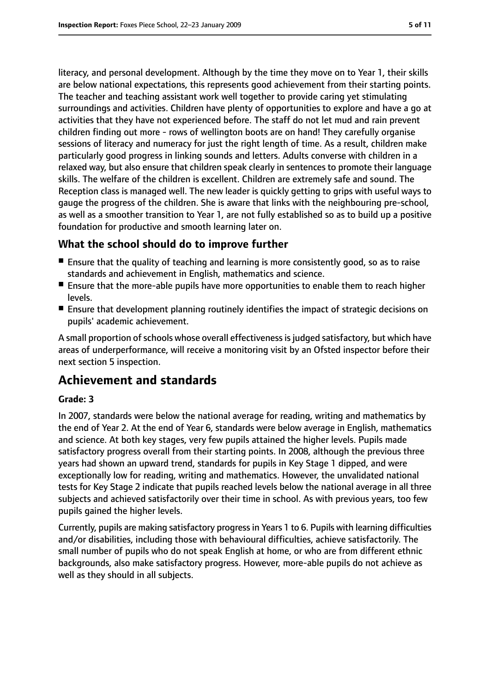literacy, and personal development. Although by the time they move on to Year 1, their skills are below national expectations, this represents good achievement from their starting points. The teacher and teaching assistant work well together to provide caring yet stimulating surroundings and activities. Children have plenty of opportunities to explore and have a go at activities that they have not experienced before. The staff do not let mud and rain prevent children finding out more - rows of wellington boots are on hand! They carefully organise sessions of literacy and numeracy for just the right length of time. As a result, children make particularly good progress in linking sounds and letters. Adults converse with children in a relaxed way, but also ensure that children speak clearly in sentences to promote their language skills. The welfare of the children is excellent. Children are extremely safe and sound. The Reception class is managed well. The new leader is quickly getting to grips with useful ways to gauge the progress of the children. She is aware that links with the neighbouring pre-school, as well as a smoother transition to Year 1, are not fully established so as to build up a positive foundation for productive and smooth learning later on.

## **What the school should do to improve further**

- Ensure that the quality of teaching and learning is more consistently good, so as to raise standards and achievement in English, mathematics and science.
- Ensure that the more-able pupils have more opportunities to enable them to reach higher levels.
- Ensure that development planning routinely identifies the impact of strategic decisions on pupils' academic achievement.

A small proportion of schools whose overall effectiveness is judged satisfactory, but which have areas of underperformance, will receive a monitoring visit by an Ofsted inspector before their next section 5 inspection.

# **Achievement and standards**

#### **Grade: 3**

In 2007, standards were below the national average for reading, writing and mathematics by the end of Year 2. At the end of Year 6, standards were below average in English, mathematics and science. At both key stages, very few pupils attained the higher levels. Pupils made satisfactory progress overall from their starting points. In 2008, although the previous three years had shown an upward trend, standards for pupils in Key Stage 1 dipped, and were exceptionally low for reading, writing and mathematics. However, the unvalidated national tests for Key Stage 2 indicate that pupils reached levels below the national average in all three subjects and achieved satisfactorily over their time in school. As with previous years, too few pupils gained the higher levels.

Currently, pupils are making satisfactory progressin Years 1 to 6. Pupils with learning difficulties and/or disabilities, including those with behavioural difficulties, achieve satisfactorily. The small number of pupils who do not speak English at home, or who are from different ethnic backgrounds, also make satisfactory progress. However, more-able pupils do not achieve as well as they should in all subjects.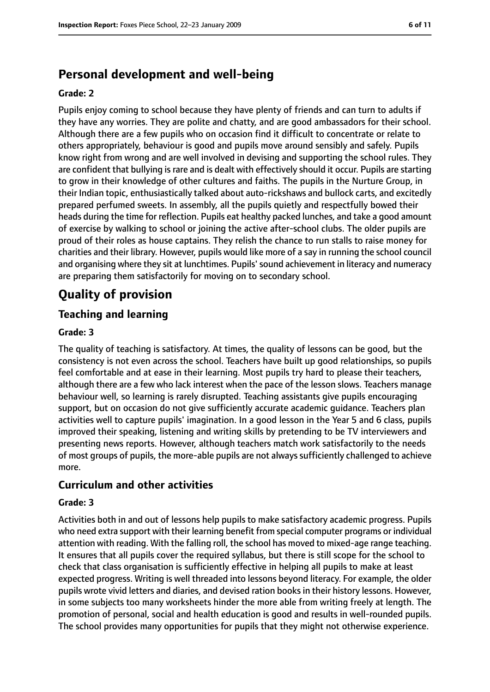# **Personal development and well-being**

#### **Grade: 2**

Pupils enjoy coming to school because they have plenty of friends and can turn to adults if they have any worries. They are polite and chatty, and are good ambassadors for their school. Although there are a few pupils who on occasion find it difficult to concentrate or relate to others appropriately, behaviour is good and pupils move around sensibly and safely. Pupils know right from wrong and are well involved in devising and supporting the school rules. They are confident that bullying is rare and is dealt with effectively should it occur. Pupils are starting to grow in their knowledge of other cultures and faiths. The pupils in the Nurture Group, in their Indian topic, enthusiastically talked about auto-rickshaws and bullock carts, and excitedly prepared perfumed sweets. In assembly, all the pupils quietly and respectfully bowed their heads during the time for reflection. Pupils eat healthy packed lunches, and take a good amount of exercise by walking to school or joining the active after-school clubs. The older pupils are proud of their roles as house captains. They relish the chance to run stalls to raise money for charities and their library. However, pupils would like more of a say in running the school council and organising where they sit at lunchtimes. Pupils' sound achievement in literacy and numeracy are preparing them satisfactorily for moving on to secondary school.

# **Quality of provision**

## **Teaching and learning**

#### **Grade: 3**

The quality of teaching is satisfactory. At times, the quality of lessons can be good, but the consistency is not even across the school. Teachers have built up good relationships, so pupils feel comfortable and at ease in their learning. Most pupils try hard to please their teachers, although there are a few who lack interest when the pace of the lesson slows. Teachers manage behaviour well, so learning is rarely disrupted. Teaching assistants give pupils encouraging support, but on occasion do not give sufficiently accurate academic guidance. Teachers plan activities well to capture pupils' imagination. In a good lesson in the Year 5 and 6 class, pupils improved their speaking, listening and writing skills by pretending to be TV interviewers and presenting news reports. However, although teachers match work satisfactorily to the needs of most groups of pupils, the more-able pupils are not always sufficiently challenged to achieve more.

#### **Curriculum and other activities**

#### **Grade: 3**

Activities both in and out of lessons help pupils to make satisfactory academic progress. Pupils who need extra support with their learning benefit from special computer programs or individual attention with reading. With the falling roll, the school has moved to mixed-age range teaching. It ensures that all pupils cover the required syllabus, but there is still scope for the school to check that class organisation is sufficiently effective in helping all pupils to make at least expected progress. Writing is well threaded into lessons beyond literacy. For example, the older pupils wrote vivid letters and diaries, and devised ration books in their history lessons. However, in some subjects too many worksheets hinder the more able from writing freely at length. The promotion of personal, social and health education is good and results in well-rounded pupils. The school provides many opportunities for pupils that they might not otherwise experience.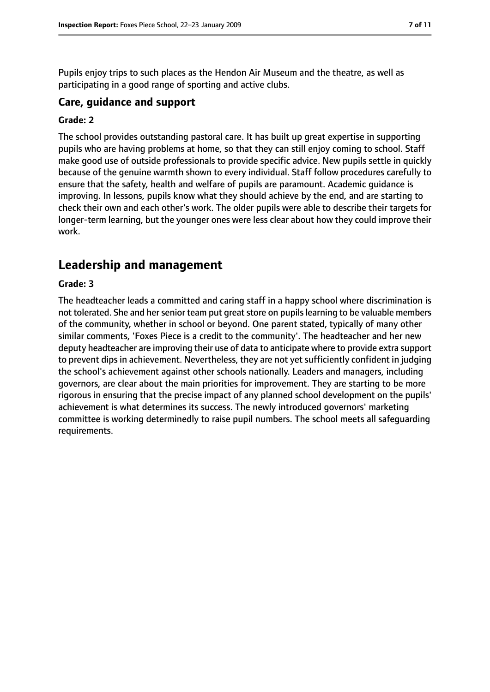Pupils enjoy trips to such places as the Hendon Air Museum and the theatre, as well as participating in a good range of sporting and active clubs.

#### **Care, guidance and support**

#### **Grade: 2**

The school provides outstanding pastoral care. It has built up great expertise in supporting pupils who are having problems at home, so that they can still enjoy coming to school. Staff make good use of outside professionals to provide specific advice. New pupils settle in quickly because of the genuine warmth shown to every individual. Staff follow procedures carefully to ensure that the safety, health and welfare of pupils are paramount. Academic guidance is improving. In lessons, pupils know what they should achieve by the end, and are starting to check their own and each other's work. The older pupils were able to describe their targets for longer-term learning, but the younger ones were less clear about how they could improve their work.

# **Leadership and management**

#### **Grade: 3**

The headteacher leads a committed and caring staff in a happy school where discrimination is not tolerated. She and her senior team put great store on pupils learning to be valuable members of the community, whether in school or beyond. One parent stated, typically of many other similar comments, 'Foxes Piece is a credit to the community'. The headteacher and her new deputy headteacher are improving their use of data to anticipate where to provide extra support to prevent dips in achievement. Nevertheless, they are not yet sufficiently confident in judging the school's achievement against other schools nationally. Leaders and managers, including governors, are clear about the main priorities for improvement. They are starting to be more rigorous in ensuring that the precise impact of any planned school development on the pupils' achievement is what determines its success. The newly introduced governors' marketing committee is working determinedly to raise pupil numbers. The school meets all safeguarding requirements.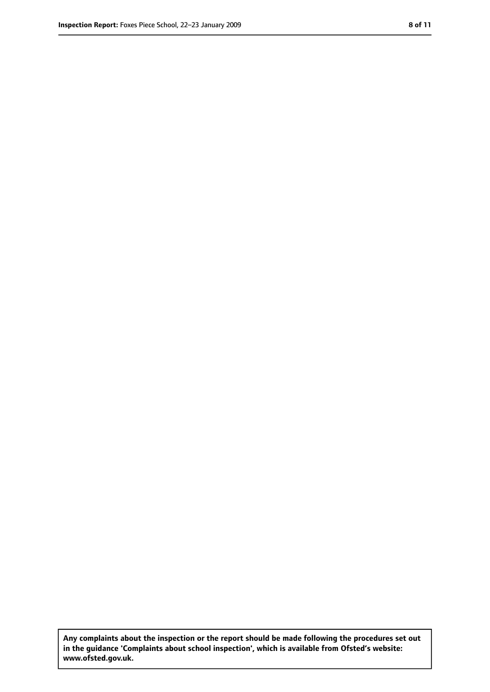**Any complaints about the inspection or the report should be made following the procedures set out in the guidance 'Complaints about school inspection', which is available from Ofsted's website: www.ofsted.gov.uk.**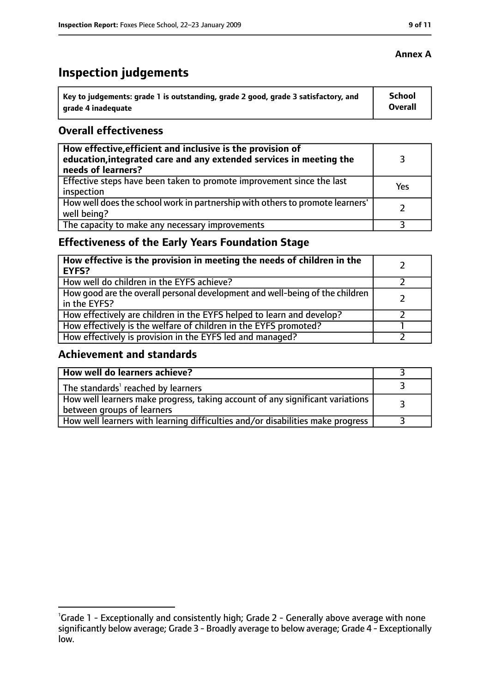# **Inspection judgements**

| key to judgements: grade 1 is outstanding, grade 2 good, grade 3 satisfactory, and ا | School         |
|--------------------------------------------------------------------------------------|----------------|
| arade 4 inadequate                                                                   | <b>Overall</b> |

## **Overall effectiveness**

| How effective, efficient and inclusive is the provision of<br>education, integrated care and any extended services in meeting the<br>needs of learners? |     |
|---------------------------------------------------------------------------------------------------------------------------------------------------------|-----|
| Effective steps have been taken to promote improvement since the last<br>inspection                                                                     | Yes |
| How well does the school work in partnership with others to promote learners'<br>well being?                                                            |     |
| The capacity to make any necessary improvements                                                                                                         |     |

# **Effectiveness of the Early Years Foundation Stage**

| How effective is the provision in meeting the needs of children in the<br>l EYFS?            |  |
|----------------------------------------------------------------------------------------------|--|
| How well do children in the EYFS achieve?                                                    |  |
| How good are the overall personal development and well-being of the children<br>in the EYFS? |  |
| How effectively are children in the EYFS helped to learn and develop?                        |  |
| How effectively is the welfare of children in the EYFS promoted?                             |  |
| How effectively is provision in the EYFS led and managed?                                    |  |

#### **Achievement and standards**

| How well do learners achieve?                                                  |  |
|--------------------------------------------------------------------------------|--|
| $\vert$ The standards <sup>1</sup> reached by learners                         |  |
| How well learners make progress, taking account of any significant variations  |  |
| between groups of learners                                                     |  |
| How well learners with learning difficulties and/or disabilities make progress |  |

## **Annex A**

<sup>&</sup>lt;sup>1</sup>Grade 1 - Exceptionally and consistently high; Grade 2 - Generally above average with none significantly below average; Grade 3 - Broadly average to below average; Grade 4 - Exceptionally low.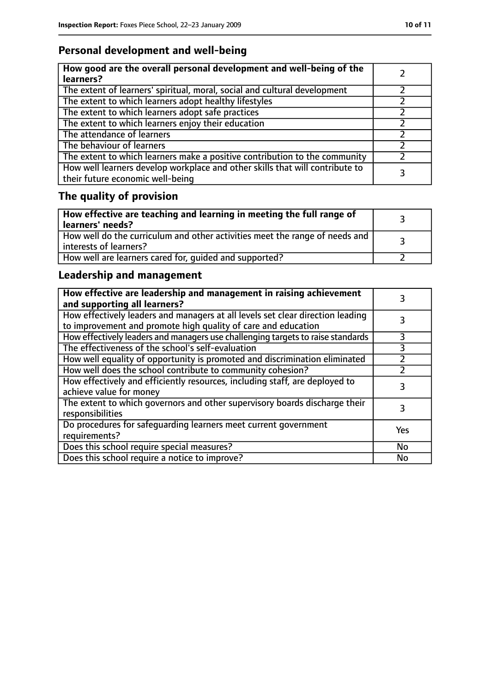# **Personal development and well-being**

| How good are the overall personal development and well-being of the<br>learners?                                 |  |
|------------------------------------------------------------------------------------------------------------------|--|
| The extent of learners' spiritual, moral, social and cultural development                                        |  |
| The extent to which learners adopt healthy lifestyles                                                            |  |
| The extent to which learners adopt safe practices                                                                |  |
| The extent to which learners enjoy their education                                                               |  |
| The attendance of learners                                                                                       |  |
| The behaviour of learners                                                                                        |  |
| The extent to which learners make a positive contribution to the community                                       |  |
| How well learners develop workplace and other skills that will contribute to<br>their future economic well-being |  |

# **The quality of provision**

| How effective are teaching and learning in meeting the full range of<br>learners' needs?              |  |
|-------------------------------------------------------------------------------------------------------|--|
| How well do the curriculum and other activities meet the range of needs and<br>interests of learners? |  |
| How well are learners cared for, quided and supported?                                                |  |

# **Leadership and management**

| How effective are leadership and management in raising achievement<br>and supporting all learners?                                              |           |
|-------------------------------------------------------------------------------------------------------------------------------------------------|-----------|
| How effectively leaders and managers at all levels set clear direction leading<br>to improvement and promote high quality of care and education |           |
| How effectively leaders and managers use challenging targets to raise standards                                                                 | 3         |
| The effectiveness of the school's self-evaluation                                                                                               | 3         |
| How well equality of opportunity is promoted and discrimination eliminated                                                                      |           |
| How well does the school contribute to community cohesion?                                                                                      |           |
| How effectively and efficiently resources, including staff, are deployed to<br>achieve value for money                                          |           |
| The extent to which governors and other supervisory boards discharge their<br>responsibilities                                                  | 3         |
| Do procedures for safequarding learners meet current government<br>requirements?                                                                | Yes       |
| Does this school require special measures?                                                                                                      | <b>No</b> |
| Does this school require a notice to improve?                                                                                                   | No        |